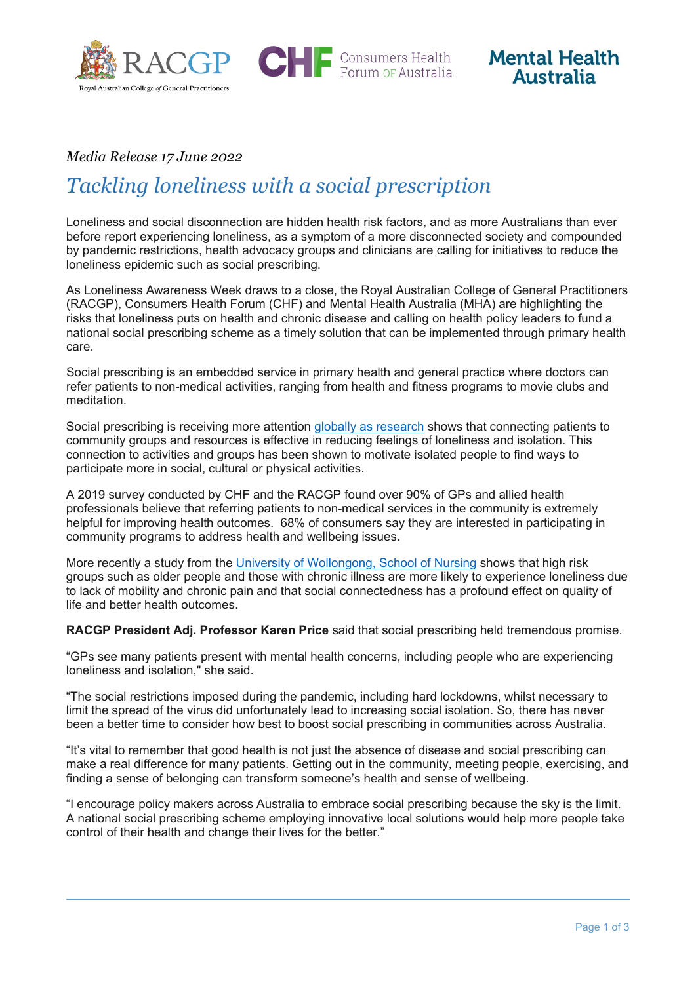

**CHIF** Consumers Health



## *Media Release 17 June 2022*

# *Tackling loneliness with a social prescription*

Loneliness and social disconnection are hidden health risk factors, and as more Australians than ever before report experiencing loneliness, as a symptom of a more disconnected society and compounded by pandemic restrictions, health advocacy groups and clinicians are calling for initiatives to reduce the loneliness epidemic such as social prescribing.

As Loneliness Awareness Week draws to a close, the Royal Australian College of General Practitioners (RACGP), Consumers Health Forum (CHF) and Mental Health Australia (MHA) are highlighting the risks that loneliness puts on health and chronic disease and calling on health policy leaders to fund a national social prescribing scheme as a timely solution that can be implemented through primary health care.

Social prescribing is an embedded service in primary health and general practice where doctors can refer patients to non-medical activities, ranging from health and fitness programs to movie clubs and meditation.

Social prescribing is receiving more attention globally [as research](https://gh.bmj.com/content/7/5/e008524) shows that connecting patients to community groups and resources is effective in reducing feelings of loneliness and isolation. This connection to activities and groups has been shown to motivate isolated people to find ways to participate more in social, cultural or physical activities.

A 2019 survey conducted by CHF and the RACGP found over 90% of GPs and allied health professionals believe that referring patients to non-medical services in the community is extremely helpful for improving health outcomes. 68% of consumers say they are interested in participating in community programs to address health and wellbeing issues.

More recently a study from the [University of Wollongong, School of Nursing](https://www.sciencedirect.com/science/article/pii/S1322769622000816) shows that high risk groups such as older people and those with chronic illness are more likely to experience loneliness due to lack of mobility and chronic pain and that social connectedness has a profound effect on quality of life and better health outcomes.

**RACGP President Adj. Professor Karen Price** said that social prescribing held tremendous promise.

"GPs see many patients present with mental health concerns, including people who are experiencing loneliness and isolation," she said.

"The social restrictions imposed during the pandemic, including hard lockdowns, whilst necessary to limit the spread of the virus did unfortunately lead to increasing social isolation. So, there has never been a better time to consider how best to boost social prescribing in communities across Australia.

"It's vital to remember that good health is not just the absence of disease and social prescribing can make a real difference for many patients. Getting out in the community, meeting people, exercising, and finding a sense of belonging can transform someone's health and sense of wellbeing.

"I encourage policy makers across Australia to embrace social prescribing because the sky is the limit. A national social prescribing scheme employing innovative local solutions would help more people take control of their health and change their lives for the better."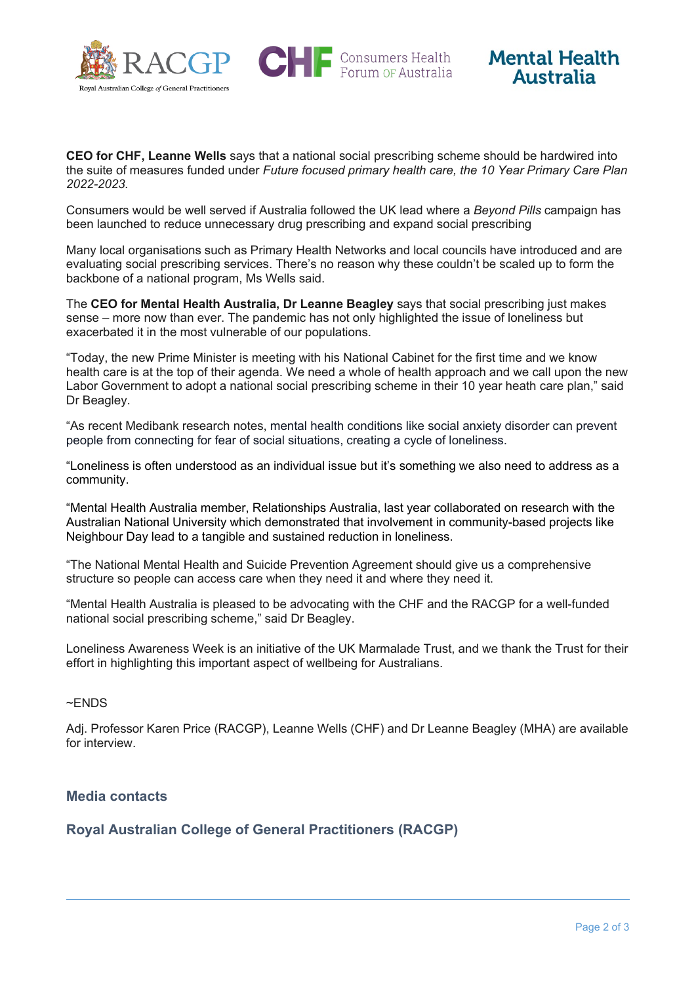

**CHF** Consumers Health



**CEO for CHF, Leanne Wells** says that a national social prescribing scheme should be hardwired into the suite of measures funded under *Future focused primary health care, the 10 Year Primary Care Plan 2022-2023.*

Consumers would be well served if Australia followed the UK lead where a *Beyond Pills* campaign has been launched to reduce unnecessary drug prescribing and expand social prescribing

Many local organisations such as Primary Health Networks and local councils have introduced and are evaluating social prescribing services. There's no reason why these couldn't be scaled up to form the backbone of a national program, Ms Wells said.

The **CEO for Mental Health Australia, Dr Leanne Beagley** says that social prescribing just makes sense – more now than ever. The pandemic has not only highlighted the issue of loneliness but exacerbated it in the most vulnerable of our populations.

"Today, the new Prime Minister is meeting with his National Cabinet for the first time and we know health care is at the top of their agenda. We need a whole of health approach and we call upon the new Labor Government to adopt a national social prescribing scheme in their 10 year heath care plan," said Dr Beagley.

"As recent Medibank research notes, mental health conditions like social anxiety disorder can prevent people from connecting for fear of social situations, creating a cycle of loneliness.

"Loneliness is often understood as an individual issue but it's something we also need to address as a community.

"Mental Health Australia member, Relationships Australia, last year collaborated on research with the Australian National University which demonstrated that involvement in community-based projects like Neighbour Day lead to a tangible and sustained reduction in loneliness.

"The National Mental Health and Suicide Prevention Agreement should give us a comprehensive structure so people can access care when they need it and where they need it.

"Mental Health Australia is pleased to be advocating with the CHF and the RACGP for a well-funded national social prescribing scheme," said Dr Beagley.

Loneliness Awareness Week is an initiative of the UK Marmalade Trust, and we thank the Trust for their effort in highlighting this important aspect of wellbeing for Australians.

#### ~ENDS

Adj. Professor Karen Price (RACGP), Leanne Wells (CHF) and Dr Leanne Beagley (MHA) are available for interview.

## **Media contacts**

**Royal Australian College of General Practitioners (RACGP)**